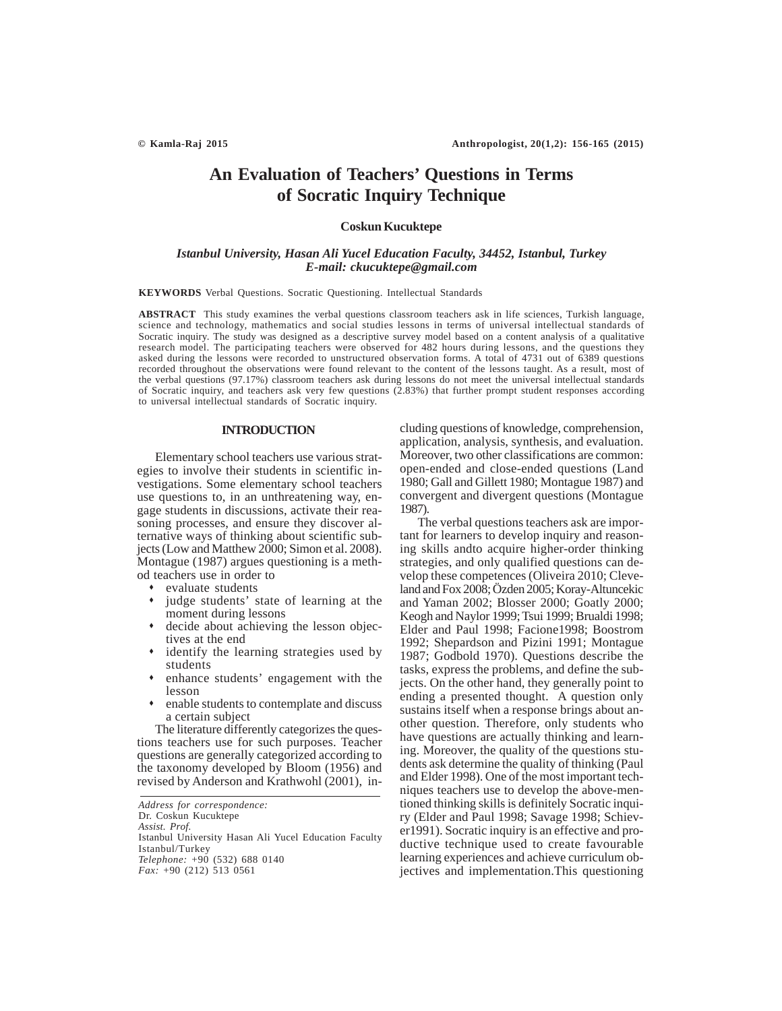# **An Evaluation of Teachers' Questions in Terms of Socratic Inquiry Technique**

## **Coskun Kucuktepe**

## *Istanbul University, Hasan Ali Yucel Education Faculty, 34452, Istanbul, Turkey E-mail: ckucuktepe@gmail.com*

**KEYWORDS** Verbal Questions. Socratic Questioning. Intellectual Standards

**ABSTRACT** This study examines the verbal questions classroom teachers ask in life sciences, Turkish language, science and technology, mathematics and social studies lessons in terms of universal intellectual standards of Socratic inquiry. The study was designed as a descriptive survey model based on a content analysis of a qualitative research model. The participating teachers were observed for 482 hours during lessons, and the questions they asked during the lessons were recorded to unstructured observation forms. A total of 4731 out of 6389 questions recorded throughout the observations were found relevant to the content of the lessons taught. As a result, most of the verbal questions (97.17%) classroom teachers ask during lessons do not meet the universal intellectual standards of Socratic inquiry, and teachers ask very few questions (2.83%) that further prompt student responses according to universal intellectual standards of Socratic inquiry.

## **INTRODUCTION**

Elementary school teachers use various strategies to involve their students in scientific investigations. Some elementary school teachers use questions to, in an unthreatening way, engage students in discussions, activate their reasoning processes, and ensure they discover alternative ways of thinking about scientific subjects (Low and Matthew 2000; Simon et al. 2008). Montague (1987) argues questioning is a method teachers use in order to

- evaluate students
- judge students' state of learning at the moment during lessons
- decide about achieving the lesson objectives at the end
- identify the learning strategies used by students
- enhance students' engagement with the lesson
- enable students to contemplate and discuss a certain subject

The literature differently categorizes the questions teachers use for such purposes. Teacher questions are generally categorized according to the taxonomy developed by Bloom (1956) and revised by Anderson and Krathwohl (2001), including questions of knowledge, comprehension, application, analysis, synthesis, and evaluation. Moreover, two other classifications are common: open-ended and close-ended questions (Land 1980; Gall and Gillett 1980; Montague 1987) and convergent and divergent questions (Montague 1987).

The verbal questions teachers ask are important for learners to develop inquiry and reasoning skills andto acquire higher-order thinking strategies, and only qualified questions can develop these competences (Oliveira 2010; Cleveland and Fox 2008; Özden 2005; Koray-Altuncekic and Yaman 2002; Blosser 2000; Goatly 2000; Keogh and Naylor 1999; Tsui 1999; Brualdi 1998; Elder and Paul 1998; Facione1998; Boostrom 1992; Shepardson and Pizini 1991; Montague 1987; Godbold 1970). Questions describe the tasks, express the problems, and define the subjects. On the other hand, they generally point to ending a presented thought. A question only sustains itself when a response brings about another question. Therefore, only students who have questions are actually thinking and learning. Moreover, the quality of the questions students ask determine the quality of thinking (Paul and Elder 1998). One of the most important techniques teachers use to develop the above-mentioned thinking skills is definitely Socratic inquiry (Elder and Paul 1998; Savage 1998; Schiever1991). Socratic inquiry is an effective and productive technique used to create favourable learning experiences and achieve curriculum objectives and implementation.This questioning

*Address for correspondence:* Dr. Coskun Kucuktepe *Assist. Prof.* Istanbul University Hasan Ali Yucel Education Faculty Istanbul/Turkey *Telephone:* +90 (532) 688 0140 *Fax:* +90 (212) 513 0561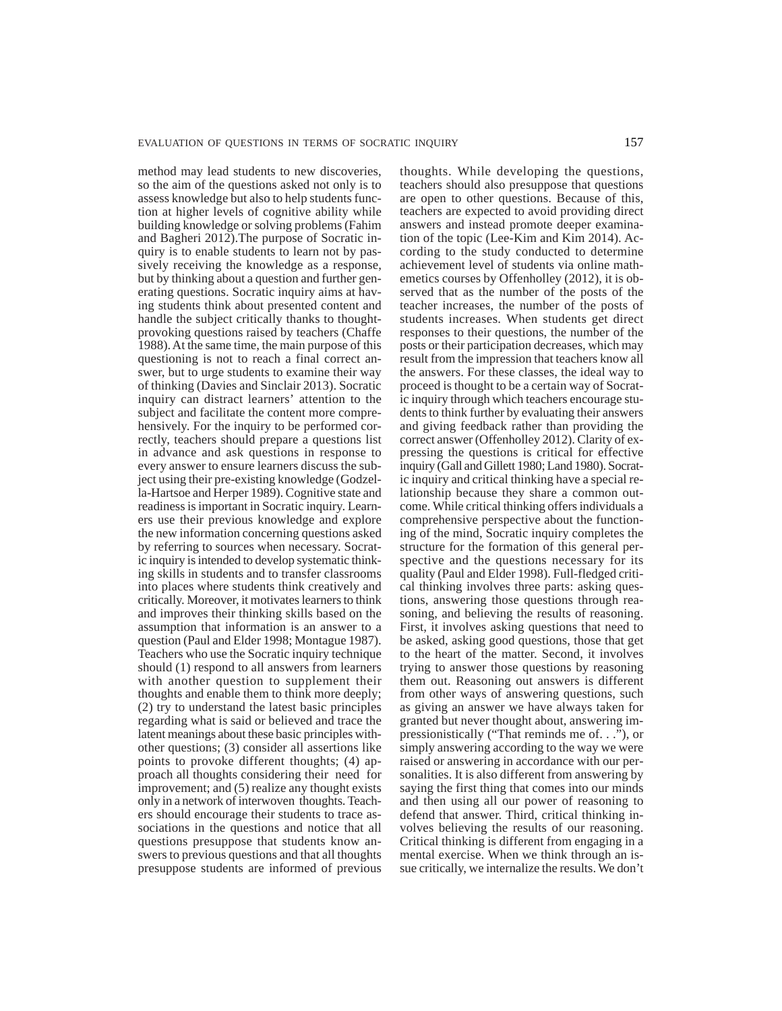method may lead students to new discoveries, so the aim of the questions asked not only is to assess knowledge but also to help students function at higher levels of cognitive ability while building knowledge or solving problems (Fahim and Bagheri 2012).The purpose of Socratic inquiry is to enable students to learn not by passively receiving the knowledge as a response, but by thinking about a question and further generating questions. Socratic inquiry aims at having students think about presented content and handle the subject critically thanks to thoughtprovoking questions raised by teachers (Chaffe 1988). At the same time, the main purpose of this questioning is not to reach a final correct answer, but to urge students to examine their way of thinking (Davies and Sinclair 2013). Socratic inquiry can distract learners' attention to the subject and facilitate the content more comprehensively. For the inquiry to be performed correctly, teachers should prepare a questions list in advance and ask questions in response to every answer to ensure learners discuss the subject using their pre-existing knowledge (Godzella-Hartsoe and Herper 1989). Cognitive state and readiness is important in Socratic inquiry. Learners use their previous knowledge and explore the new information concerning questions asked by referring to sources when necessary. Socratic inquiry is intended to develop systematic thinking skills in students and to transfer classrooms into places where students think creatively and critically. Moreover, it motivates learners to think and improves their thinking skills based on the assumption that information is an answer to a question (Paul and Elder 1998; Montague 1987). Teachers who use the Socratic inquiry technique should (1) respond to all answers from learners with another question to supplement their thoughts and enable them to think more deeply; (2) try to understand the latest basic principles regarding what is said or believed and trace the latent meanings about these basic principles withother questions; (3) consider all assertions like points to provoke different thoughts; (4) approach all thoughts considering their need for improvement; and (5) realize any thought exists only in a network of interwoven thoughts. Teachers should encourage their students to trace associations in the questions and notice that all questions presuppose that students know answers to previous questions and that all thoughts presuppose students are informed of previous

thoughts. While developing the questions, teachers should also presuppose that questions are open to other questions. Because of this, teachers are expected to avoid providing direct answers and instead promote deeper examination of the topic (Lee-Kim and Kim 2014). According to the study conducted to determine achievement level of students via online mathemetics courses by Offenholley (2012), it is observed that as the number of the posts of the teacher increases, the number of the posts of students increases. When students get direct responses to their questions, the number of the posts or their participation decreases, which may result from the impression that teachers know all the answers. For these classes, the ideal way to proceed is thought to be a certain way of Socratic inquiry through which teachers encourage students to think further by evaluating their answers and giving feedback rather than providing the correct answer (Offenholley 2012). Clarity of expressing the questions is critical for effective inquiry (Gall and Gillett 1980; Land 1980). Socratic inquiry and critical thinking have a special relationship because they share a common outcome. While critical thinking offers individuals a comprehensive perspective about the functioning of the mind, Socratic inquiry completes the structure for the formation of this general perspective and the questions necessary for its quality (Paul and Elder 1998). Full-fledged critical thinking involves three parts: asking questions, answering those questions through reasoning, and believing the results of reasoning. First, it involves asking questions that need to be asked, asking good questions, those that get to the heart of the matter. Second, it involves trying to answer those questions by reasoning them out. Reasoning out answers is different from other ways of answering questions, such as giving an answer we have always taken for granted but never thought about, answering impressionistically ("That reminds me of. . ."), or simply answering according to the way we were raised or answering in accordance with our personalities. It is also different from answering by saying the first thing that comes into our minds and then using all our power of reasoning to defend that answer. Third, critical thinking involves believing the results of our reasoning. Critical thinking is different from engaging in a mental exercise. When we think through an issue critically, we internalize the results. We don't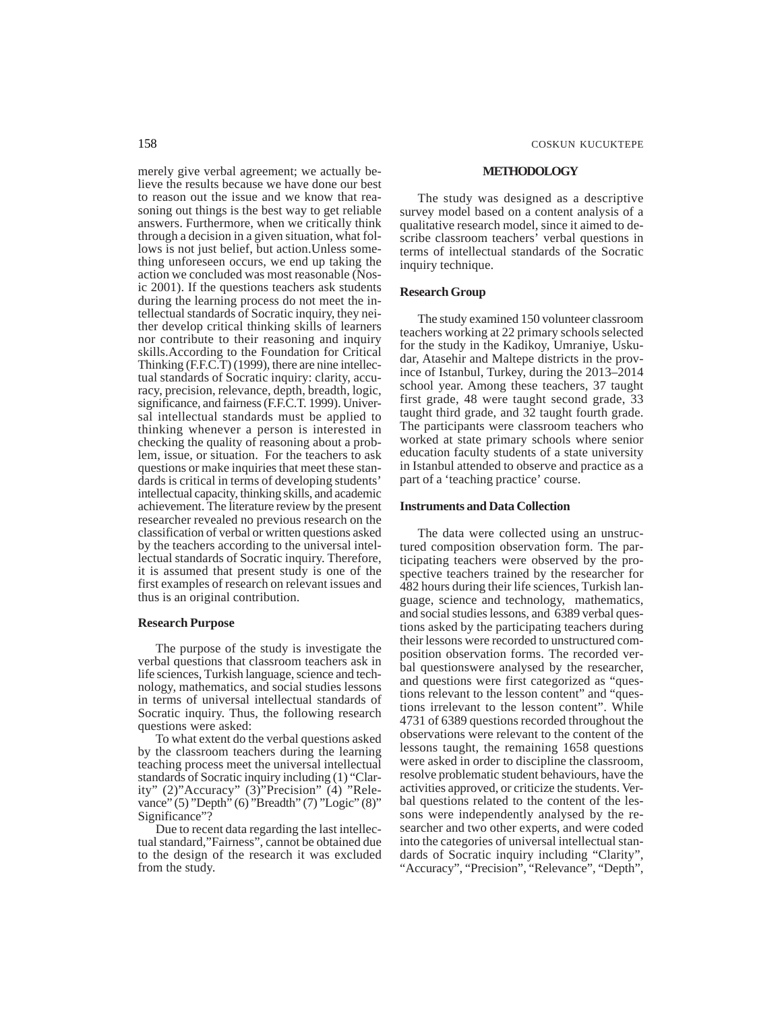merely give verbal agreement; we actually believe the results because we have done our best to reason out the issue and we know that reasoning out things is the best way to get reliable answers. Furthermore, when we critically think through a decision in a given situation, what follows is not just belief, but action.Unless something unforeseen occurs, we end up taking the action we concluded was most reasonable (Nosic 2001). If the questions teachers ask students during the learning process do not meet the intellectual standards of Socratic inquiry, they neither develop critical thinking skills of learners nor contribute to their reasoning and inquiry skills.According to the Foundation for Critical Thinking (F.F.C.T) (1999), there are nine intellectual standards of Socratic inquiry: clarity, accuracy, precision, relevance, depth, breadth, logic, significance, and fairness (F.F.C.T. 1999). Universal intellectual standards must be applied to thinking whenever a person is interested in checking the quality of reasoning about a problem, issue, or situation. For the teachers to ask questions or make inquiries that meet these standards is critical in terms of developing students' intellectual capacity, thinking skills, and academic achievement. The literature review by the present researcher revealed no previous research on the classification of verbal or written questions asked by the teachers according to the universal intellectual standards of Socratic inquiry. Therefore, it is assumed that present study is one of the first examples of research on relevant issues and thus is an original contribution.

## **Research Purpose**

The purpose of the study is investigate the verbal questions that classroom teachers ask in life sciences, Turkish language, science and technology, mathematics, and social studies lessons in terms of universal intellectual standards of Socratic inquiry. Thus, the following research questions were asked:

To what extent do the verbal questions asked by the classroom teachers during the learning teaching process meet the universal intellectual standards of Socratic inquiry including (1) "Clarity" (2)"Accuracy" (3)"Precision" (4) "Relevance" (5) "Depth" (6) "Breadth" (7) "Logic" (8)" Significance"?

Due to recent data regarding the last intellectual standard,"Fairness", cannot be obtained due to the design of the research it was excluded from the study.

#### **METHODOLOGY**

The study was designed as a descriptive survey model based on a content analysis of a qualitative research model, since it aimed to describe classroom teachers' verbal questions in terms of intellectual standards of the Socratic inquiry technique.

#### **Research Group**

The study examined 150 volunteer classroom teachers working at 22 primary schools selected for the study in the Kadikoy, Umraniye, Uskudar, Atasehir and Maltepe districts in the province of Istanbul, Turkey, during the 2013–2014 school year. Among these teachers, 37 taught first grade, 48 were taught second grade, 33 taught third grade, and 32 taught fourth grade. The participants were classroom teachers who worked at state primary schools where senior education faculty students of a state university in Istanbul attended to observe and practice as a part of a 'teaching practice' course.

### **Instruments and Data Collection**

The data were collected using an unstructured composition observation form. The participating teachers were observed by the prospective teachers trained by the researcher for 482 hours during their life sciences, Turkish language, science and technology, mathematics, and social studies lessons, and 6389 verbal questions asked by the participating teachers during their lessons were recorded to unstructured composition observation forms. The recorded verbal questionswere analysed by the researcher, and questions were first categorized as "questions relevant to the lesson content" and "questions irrelevant to the lesson content". While 4731 of 6389 questions recorded throughout the observations were relevant to the content of the lessons taught, the remaining 1658 questions were asked in order to discipline the classroom, resolve problematic student behaviours, have the activities approved, or criticize the students. Verbal questions related to the content of the lessons were independently analysed by the researcher and two other experts, and were coded into the categories of universal intellectual standards of Socratic inquiry including "Clarity", "Accuracy", "Precision", "Relevance", "Depth",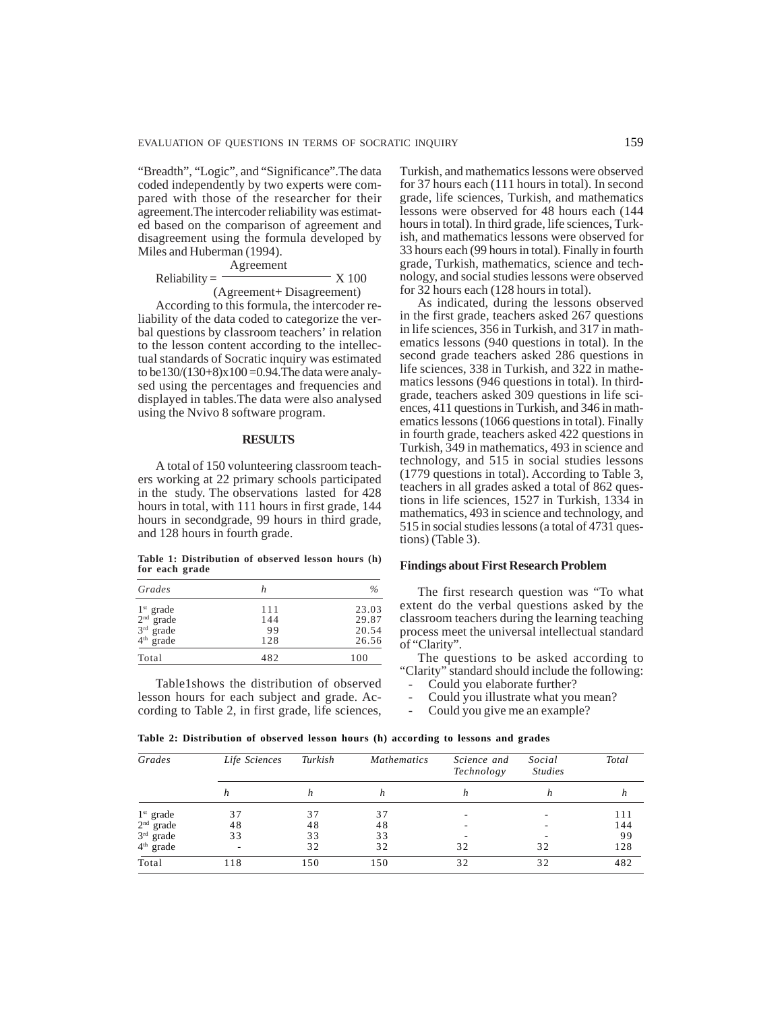"Breadth", "Logic", and "Significance".The data coded independently by two experts were compared with those of the researcher for their agreement.The intercoder reliability was estimated based on the comparison of agreement and disagreement using the formula developed by Miles and Huberman (1994).

Reliability = 
$$
\frac{\text{Agreement}}{\text{(Agreenent + Disagreement)}}
$$
X 100

According to this formula, the intercoder reliability of the data coded to categorize the verbal questions by classroom teachers' in relation to the lesson content according to the intellectual standards of Socratic inquiry was estimated to be130/(130+8) $x100 = 0.94$ . The data were analysed using the percentages and frequencies and displayed in tables.The data were also analysed using the Nvivo 8 software program.

## **RESULTS**

A total of 150 volunteering classroom teachers working at 22 primary schools participated in the study. The observations lasted for 428 hours in total, with 111 hours in first grade, 144 hours in secondgrade, 99 hours in third grade, and 128 hours in fourth grade.

**Table 1: Distribution of observed lesson hours (h) for each grade**

| h   | $\%$  |
|-----|-------|
| 111 | 23.03 |
| 144 | 29.87 |
| 99  | 20.54 |
| 128 | 26.56 |
| 482 | 100   |
|     |       |

Table1shows the distribution of observed lesson hours for each subject and grade. According to Table 2, in first grade, life sciences, Turkish, and mathematics lessons were observed for 37 hours each (111 hours in total). In second grade, life sciences, Turkish, and mathematics lessons were observed for 48 hours each (144 hours in total). In third grade, life sciences, Turkish, and mathematics lessons were observed for 33 hours each (99 hours in total). Finally in fourth grade, Turkish, mathematics, science and technology, and social studies lessons were observed for 32 hours each (128 hours in total).

As indicated, during the lessons observed in the first grade, teachers asked 267 questions in life sciences, 356 in Turkish, and 317 in mathematics lessons (940 questions in total). In the second grade teachers asked 286 questions in life sciences, 338 in Turkish, and 322 in mathematics lessons (946 questions in total). In thirdgrade, teachers asked 309 questions in life sciences, 411 questions in Turkish, and 346 in mathematics lessons (1066 questions in total). Finally in fourth grade, teachers asked 422 questions in Turkish, 349 in mathematics, 493 in science and technology, and 515 in social studies lessons (1779 questions in total). According to Table 3, teachers in all grades asked a total of 862 questions in life sciences, 1527 in Turkish, 1334 in mathematics, 493 in science and technology, and 515 in social studies lessons (a total of 4731 questions) (Table 3).

#### **Findings about First Research Problem**

The first research question was "To what extent do the verbal questions asked by the classroom teachers during the learning teaching process meet the universal intellectual standard of "Clarity".

The questions to be asked according to "Clarity" standard should include the following:

- Could you elaborate further?
- Could you illustrate what you mean?
- Could you give me an example?

| Grades      | Life Sciences | Turkish | <b>Mathematics</b> | Science and<br>Technology | Social<br><b>Studies</b> | Total |
|-------------|---------------|---------|--------------------|---------------------------|--------------------------|-------|
|             | h             |         | h                  | n                         |                          | n     |
| $1st$ grade | 37            | 37      | 37                 |                           |                          | 111   |
| $2nd$ grade | 48            | 48      | 48                 |                           |                          | 144   |
| $3rd$ grade | 33            | 33      | 33                 |                           |                          | 99    |
| $4th$ grade |               | 32      | 32                 | 32                        | 32                       | 128   |
| Total       | 118           | 150     | 150                | 32                        | 32                       | 482   |

**Table 2: Distribution of observed lesson hours (h) according to lessons and grades**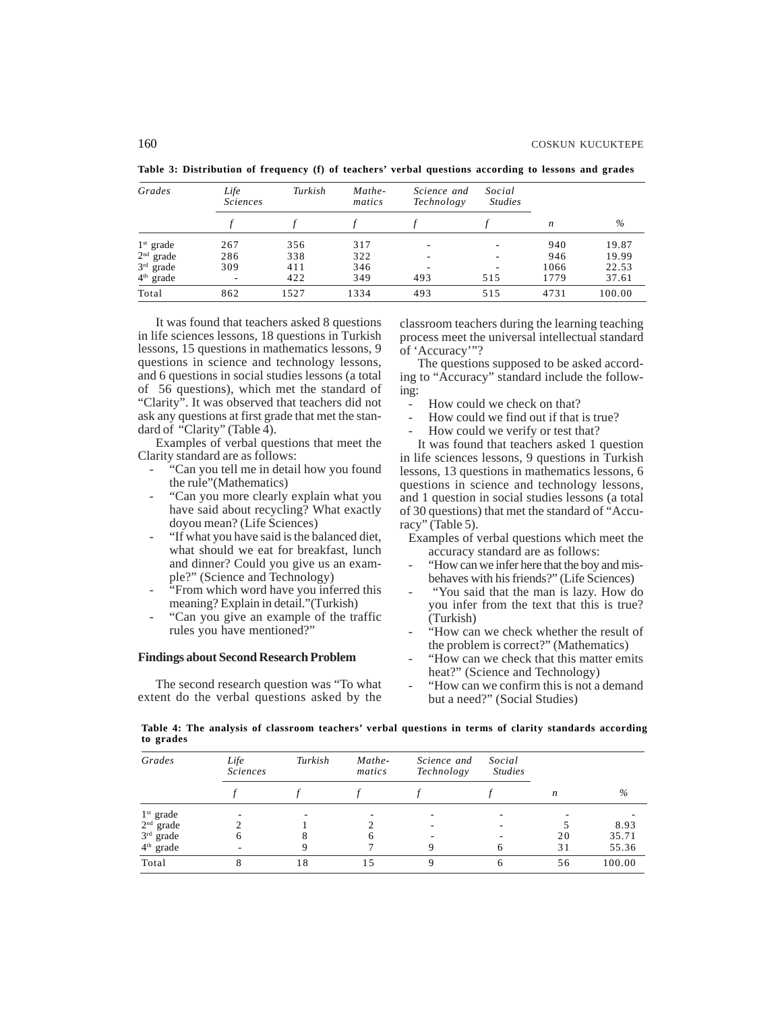| Grades      | Life<br><i>Sciences</i> | Turkish | Mathe-<br>matics | Science and<br>Technology | Social<br><b>Studies</b> |      |        |
|-------------|-------------------------|---------|------------------|---------------------------|--------------------------|------|--------|
|             |                         |         |                  |                           |                          | n    | $\%$   |
| $1st$ grade | 267                     | 356     | 317              |                           |                          | 940  | 19.87  |
| $2nd$ grade | 286                     | 338     | 322              |                           |                          | 946  | 19.99  |
| $3rd$ grade | 309                     | 411     | 346              |                           |                          | 1066 | 22.53  |
| $4th$ grade | ٠                       | 422     | 349              | 493                       | 515                      | 1779 | 37.61  |
| Total       | 862                     | 1527    | 1334             | 493                       | 515                      | 4731 | 100.00 |

**Table 3: Distribution of frequency (f) of teachers' verbal questions according to lessons and grades**

It was found that teachers asked 8 questions in life sciences lessons, 18 questions in Turkish lessons, 15 questions in mathematics lessons, 9 questions in science and technology lessons, and 6 questions in social studies lessons (a total of 56 questions), which met the standard of "Clarity". It was observed that teachers did not ask any questions at first grade that met the standard of "Clarity" (Table 4).

Examples of verbal questions that meet the Clarity standard are as follows:

- "Can you tell me in detail how you found the rule"(Mathematics)
- "Can you more clearly explain what you have said about recycling? What exactly doyou mean? (Life Sciences)
- "If what you have said is the balanced diet, what should we eat for breakfast, lunch and dinner? Could you give us an example?" (Science and Technology)
- "From which word have you inferred this meaning? Explain in detail."(Turkish)
- "Can you give an example of the traffic rules you have mentioned?"

## **Findings about Second Research Problem**

The second research question was "To what extent do the verbal questions asked by the classroom teachers during the learning teaching process meet the universal intellectual standard of 'Accuracy'"?

The questions supposed to be asked according to "Accuracy" standard include the following:

- How could we check on that?
- How could we find out if that is true?
- How could we verify or test that?

It was found that teachers asked 1 question in life sciences lessons, 9 questions in Turkish lessons, 13 questions in mathematics lessons, 6 questions in science and technology lessons, and 1 question in social studies lessons (a total of 30 questions) that met the standard of "Accuracy" (Table 5).

Examples of verbal questions which meet the accuracy standard are as follows:

- "How can we infer here that the boy and misbehaves with his friends?" (Life Sciences)
- "You said that the man is lazy. How do you infer from the text that this is true? (Turkish)
- "How can we check whether the result of the problem is correct?" (Mathematics)
- "How can we check that this matter emits heat?" (Science and Technology)
- "How can we confirm this is not a demand but a need?" (Social Studies)

**Table 4: The analysis of classroom teachers' verbal questions in terms of clarity standards according to grades**

| Grades      | Life<br><i>Sciences</i> | Turkish     | Mathe-<br>matics | Science and<br>Technology | Social<br><b>Studies</b> |    |        |
|-------------|-------------------------|-------------|------------------|---------------------------|--------------------------|----|--------|
|             |                         |             |                  |                           |                          | n  | %      |
| $1st$ grade |                         |             |                  |                           |                          |    |        |
| $2nd$ grade |                         |             |                  |                           |                          |    | 8.93   |
| $3rd$ grade | h                       |             | h                |                           |                          | 20 | 35.71  |
| $4th$ grade |                         | Q           |                  |                           |                          | 31 | 55.36  |
| Total       |                         | $8^{\circ}$ |                  |                           |                          | 56 | 100.00 |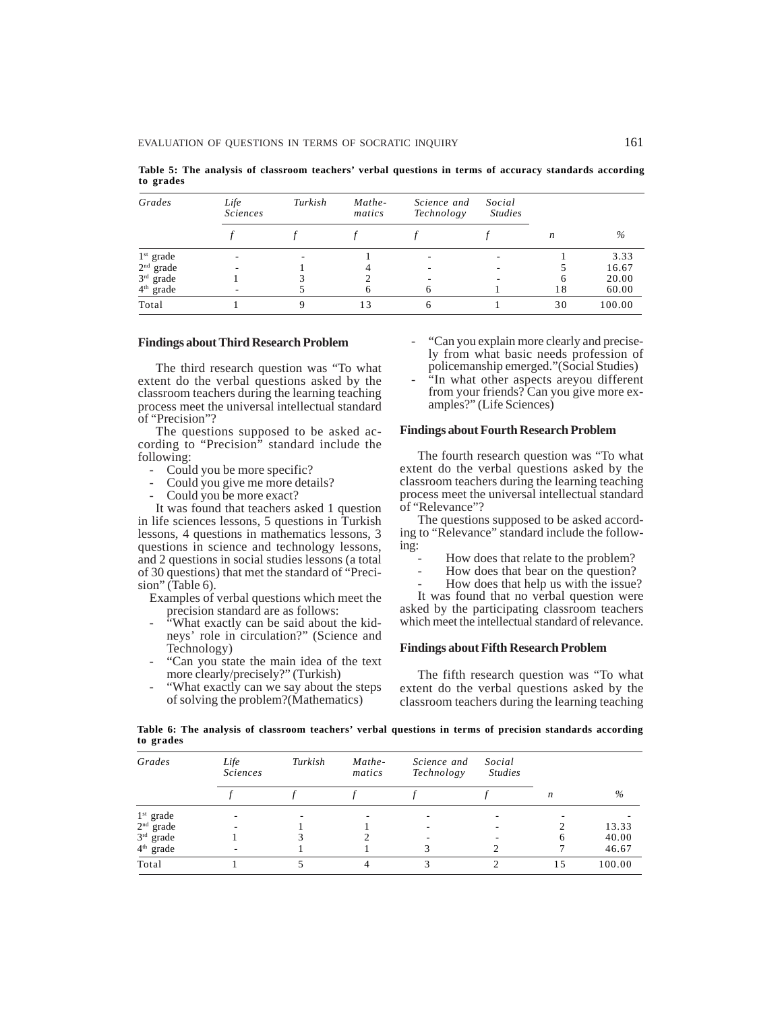**Table 5: The analysis of classroom teachers' verbal questions in terms of accuracy standards according to grades**

| Grades      | Life<br><i>Sciences</i> | Turkish | Mathe-<br>matics | Science and<br>Technology | Social<br><b>Studies</b> |    |        |
|-------------|-------------------------|---------|------------------|---------------------------|--------------------------|----|--------|
|             |                         |         |                  |                           |                          | n  | $\%$   |
| $1st$ grade |                         |         |                  |                           |                          |    | 3.33   |
| $2nd$ grade |                         |         |                  |                           |                          |    | 16.67  |
| $3rd$ grade |                         |         |                  |                           | ۰                        | 6  | 20.00  |
| $4th$ grade |                         |         | 6                |                           |                          | 18 | 60.00  |
| Total       |                         |         | 13               | 6                         |                          | 30 | 100.00 |

## **Findings about Third Research Problem**

The third research question was "To what extent do the verbal questions asked by the classroom teachers during the learning teaching process meet the universal intellectual standard of "Precision"?

The questions supposed to be asked according to "Precision" standard include the following:

- Could you be more specific?
- Could you give me more details?
- Could you be more exact?

It was found that teachers asked 1 question in life sciences lessons, 5 questions in Turkish lessons, 4 questions in mathematics lessons, 3 questions in science and technology lessons, and 2 questions in social studies lessons (a total of 30 questions) that met the standard of "Precision" (Table 6).

Examples of verbal questions which meet the precision standard are as follows:

- "What exactly can be said about the kidneys' role in circulation?" (Science and Technology)
- "Can you state the main idea of the text more clearly/precisely?" (Turkish)
- "What exactly can we say about the steps of solving the problem?(Mathematics)
- "Can you explain more clearly and precisely from what basic needs profession of policemanship emerged."(Social Studies)
- "In what other aspects areyou different from your friends? Can you give more examples?" (Life Sciences)

#### **Findings about Fourth Research Problem**

The fourth research question was "To what extent do the verbal questions asked by the classroom teachers during the learning teaching process meet the universal intellectual standard of "Relevance"?

The questions supposed to be asked according to "Relevance" standard include the following:

- How does that relate to the problem?
- How does that bear on the question?

How does that help us with the issue?

It was found that no verbal question were asked by the participating classroom teachers which meet the intellectual standard of relevance.

### **Findings about Fifth Research Problem**

The fifth research question was "To what extent do the verbal questions asked by the classroom teachers during the learning teaching

**Table 6: The analysis of classroom teachers' verbal questions in terms of precision standards according to grades**

| Grades      | Life<br><i>Sciences</i> | Turkish | Mathe-<br>matics | Science and<br>Technology | Social<br><b>Studies</b> |                  |        |
|-------------|-------------------------|---------|------------------|---------------------------|--------------------------|------------------|--------|
|             |                         |         |                  |                           |                          | $\boldsymbol{n}$ | $\%$   |
| $1st$ grade |                         |         |                  |                           |                          |                  |        |
| $2nd$ grade |                         |         |                  |                           |                          |                  | 13.33  |
| $3rd$ grade |                         |         | ∍                |                           |                          | 6                | 40.00  |
| $4th$ grade |                         |         |                  |                           |                          |                  | 46.67  |
| Total       |                         |         |                  |                           |                          | 15               | 100.00 |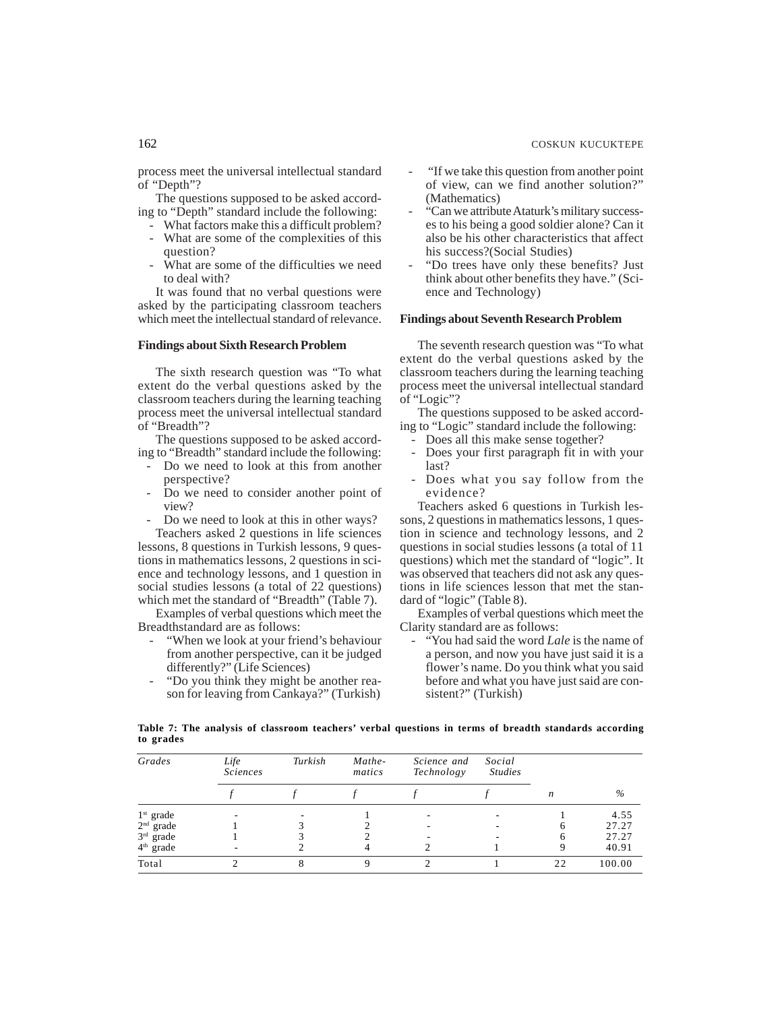process meet the universal intellectual standard of "Depth"?

The questions supposed to be asked according to "Depth" standard include the following:

- What factors make this a difficult problem? - What are some of the complexities of this
- question? What are some of the difficulties we need
- to deal with?

It was found that no verbal questions were asked by the participating classroom teachers which meet the intellectual standard of relevance.

## **Findings about Sixth Research Problem**

The sixth research question was "To what extent do the verbal questions asked by the classroom teachers during the learning teaching process meet the universal intellectual standard of "Breadth"?

The questions supposed to be asked according to "Breadth" standard include the following:

- Do we need to look at this from another perspective?
- Do we need to consider another point of view?
- Do we need to look at this in other ways? Teachers asked 2 questions in life sciences

lessons, 8 questions in Turkish lessons, 9 questions in mathematics lessons, 2 questions in science and technology lessons, and 1 question in social studies lessons (a total of 22 questions) which met the standard of "Breadth" (Table 7).

Examples of verbal questions which meet the Breadthstandard are as follows:

- "When we look at your friend's behaviour from another perspective, can it be judged differently?" (Life Sciences)
- "Do you think they might be another reason for leaving from Cankaya?" (Turkish)
- "If we take this question from another point of view, can we find another solution?" (Mathematics)
- "Can we attribute Ataturk's military successes to his being a good soldier alone? Can it also be his other characteristics that affect his success?(Social Studies)
- "Do trees have only these benefits? Just think about other benefits they have." (Science and Technology)

## **Findings about Seventh Research Problem**

The seventh research question was "To what extent do the verbal questions asked by the classroom teachers during the learning teaching process meet the universal intellectual standard of "Logic"?

The questions supposed to be asked according to "Logic" standard include the following:

- Does all this make sense together?
- Does your first paragraph fit in with your last?
- Does what you say follow from the evidence?

Teachers asked 6 questions in Turkish lessons, 2 questions in mathematics lessons, 1 question in science and technology lessons, and 2 questions in social studies lessons (a total of 11 questions) which met the standard of "logic". It was observed that teachers did not ask any questions in life sciences lesson that met the standard of "logic" (Table 8).

Examples of verbal questions which meet the Clarity standard are as follows:

- "You had said the word *Lale* is the name of a person, and now you have just said it is a flower's name. Do you think what you said before and what you have just said are consistent?" (Turkish)

| Table 7: The analysis of classroom teachers' verbal questions in terms of breadth standards according |  |  |  |  |  |  |
|-------------------------------------------------------------------------------------------------------|--|--|--|--|--|--|
| to grades                                                                                             |  |  |  |  |  |  |

| Grades                | Life<br><i>Sciences</i> | Turkish | Mathe-<br>matics | Science and<br>Technology | Social<br><b>Studies</b> |      |        |
|-----------------------|-------------------------|---------|------------------|---------------------------|--------------------------|------|--------|
|                       |                         |         |                  |                           |                          | n    | $\%$   |
| $1st$ grade           |                         |         |                  |                           |                          |      | 4.55   |
| $2nd$ grade           |                         |         |                  |                           |                          | 6    | 27.27  |
| $3rd$ grade           |                         |         |                  |                           |                          | h    | 27.27  |
| 4 <sup>th</sup> grade |                         |         |                  |                           |                          | Q    | 40.91  |
| Total                 |                         |         | Q                |                           |                          | 2.2. | 100.00 |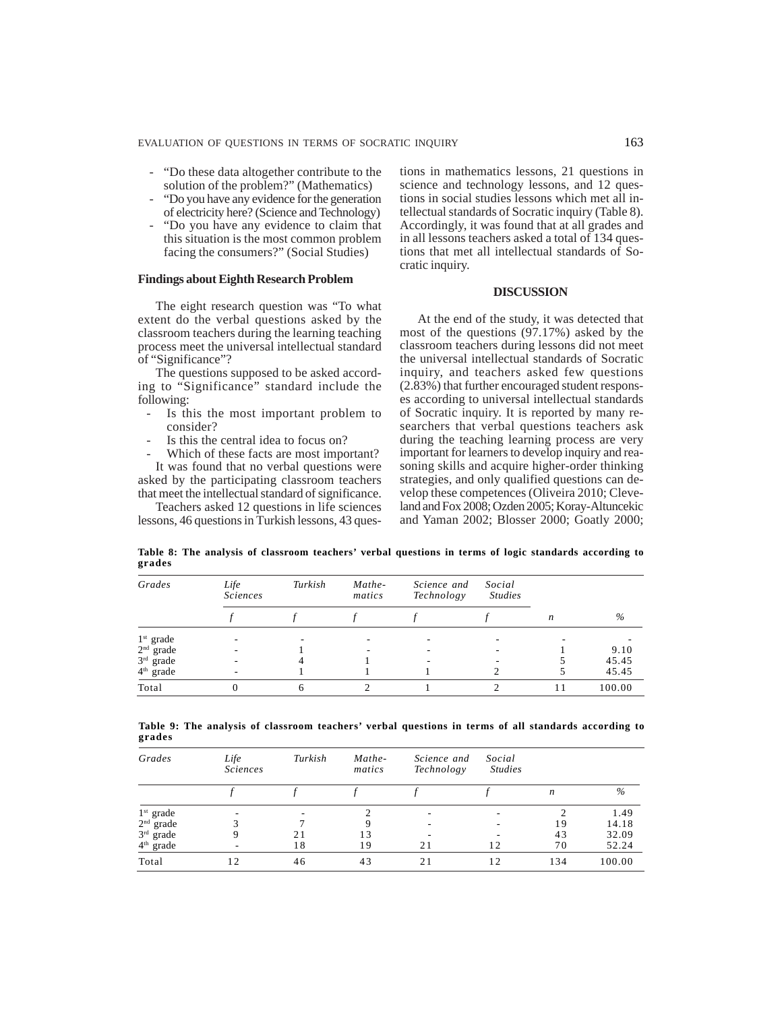- "Do these data altogether contribute to the solution of the problem?" (Mathematics)
- "Do you have any evidence for the generation of electricity here? (Science and Technology)
- "Do you have any evidence to claim that this situation is the most common problem facing the consumers?" (Social Studies)

## **Findings about Eighth Research Problem**

The eight research question was "To what extent do the verbal questions asked by the classroom teachers during the learning teaching process meet the universal intellectual standard of "Significance"?

The questions supposed to be asked according to "Significance" standard include the following:

- Is this the most important problem to consider?
- Is this the central idea to focus on?
- Which of these facts are most important?

It was found that no verbal questions were asked by the participating classroom teachers that meet the intellectual standard of significance.

Teachers asked 12 questions in life sciences lessons, 46 questions in Turkish lessons, 43 questions in mathematics lessons, 21 questions in science and technology lessons, and 12 questions in social studies lessons which met all intellectual standards of Socratic inquiry (Table 8). Accordingly, it was found that at all grades and in all lessons teachers asked a total of 134 questions that met all intellectual standards of Socratic inquiry.

### **DISCUSSION**

At the end of the study, it was detected that most of the questions (97.17%) asked by the classroom teachers during lessons did not meet the universal intellectual standards of Socratic inquiry, and teachers asked few questions (2.83%) that further encouraged student responses according to universal intellectual standards of Socratic inquiry. It is reported by many researchers that verbal questions teachers ask during the teaching learning process are very important for learners to develop inquiry and reasoning skills and acquire higher-order thinking strategies, and only qualified questions can develop these competences (Oliveira 2010; Cleveland and Fox 2008; Ozden 2005; Koray-Altuncekic and Yaman 2002; Blosser 2000; Goatly 2000;

**Table 8: The analysis of classroom teachers' verbal questions in terms of logic standards according to grades**

| Grades      | Life<br><i>Sciences</i> | Turkish | Mathe-<br>matics | Science and<br>Technology | Social<br><b>Studies</b> |                  |        |
|-------------|-------------------------|---------|------------------|---------------------------|--------------------------|------------------|--------|
|             |                         |         |                  |                           |                          | $\boldsymbol{n}$ | $\%$   |
| $1st$ grade |                         |         |                  |                           |                          |                  |        |
| $2nd$ grade |                         |         |                  |                           |                          |                  | 9.10   |
| $3rd$ grade |                         |         |                  |                           |                          |                  | 45.45  |
| $4th$ grade |                         |         |                  |                           |                          |                  | 45.45  |
| Total       | $\Omega$                | 6       |                  |                           |                          |                  | 100.00 |

|        |  | Table 9: The analysis of classroom teachers' verbal questions in terms of all standards according to |  |  |  |  |  |
|--------|--|------------------------------------------------------------------------------------------------------|--|--|--|--|--|
| grades |  |                                                                                                      |  |  |  |  |  |

| Grades      | Life<br><b>Sciences</b> | Turkish | Mathe-<br>matics | Science and<br>Technology | Social<br><b>Studies</b> |                  |        |
|-------------|-------------------------|---------|------------------|---------------------------|--------------------------|------------------|--------|
|             |                         |         |                  |                           |                          | $\boldsymbol{n}$ | $\%$   |
| $1st$ grade |                         |         |                  |                           |                          |                  | 1.49   |
| $2nd$ grade | 3                       |         | 9                | ٠                         |                          | 19               | 14.18  |
| $3rd$ grade |                         | 21      | 13               | ۰                         |                          | 43               | 32.09  |
| $4th$ grade | ۰.                      | 18      | 19               | 21                        | 12                       | 70               | 52.24  |
| Total       | 12                      | 46      | 43               | 21                        | 12                       | 134              | 100.00 |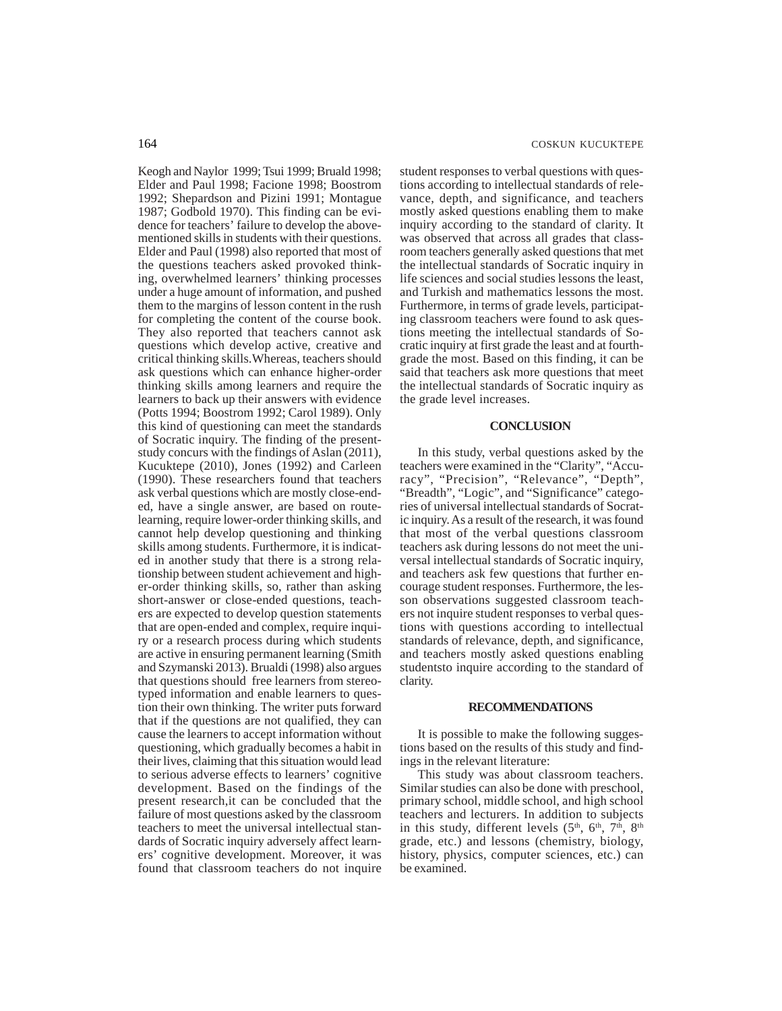Keogh and Naylor 1999; Tsui 1999; Bruald 1998; Elder and Paul 1998; Facione 1998; Boostrom 1992; Shepardson and Pizini 1991; Montague 1987; Godbold 1970). This finding can be evidence for teachers' failure to develop the abovementioned skills in students with their questions. Elder and Paul (1998) also reported that most of the questions teachers asked provoked thinking, overwhelmed learners' thinking processes under a huge amount of information, and pushed them to the margins of lesson content in the rush for completing the content of the course book. They also reported that teachers cannot ask questions which develop active, creative and critical thinking skills.Whereas, teachers should ask questions which can enhance higher-order thinking skills among learners and require the learners to back up their answers with evidence (Potts 1994; Boostrom 1992; Carol 1989). Only this kind of questioning can meet the standards of Socratic inquiry. The finding of the presentstudy concurs with the findings of Aslan (2011), Kucuktepe (2010), Jones (1992) and Carleen (1990). These researchers found that teachers ask verbal questions which are mostly close-ended, have a single answer, are based on routelearning, require lower-order thinking skills, and cannot help develop questioning and thinking skills among students. Furthermore, it is indicated in another study that there is a strong relationship between student achievement and higher-order thinking skills, so, rather than asking short-answer or close-ended questions, teachers are expected to develop question statements that are open-ended and complex, require inquiry or a research process during which students are active in ensuring permanent learning (Smith and Szymanski 2013). Brualdi (1998) also argues that questions should free learners from stereotyped information and enable learners to question their own thinking. The writer puts forward that if the questions are not qualified, they can cause the learners to accept information without questioning, which gradually becomes a habit in their lives, claiming that this situation would lead to serious adverse effects to learners' cognitive development. Based on the findings of the present research,it can be concluded that the failure of most questions asked by the classroom teachers to meet the universal intellectual standards of Socratic inquiry adversely affect learners' cognitive development. Moreover, it was found that classroom teachers do not inquire student responses to verbal questions with questions according to intellectual standards of relevance, depth, and significance, and teachers mostly asked questions enabling them to make inquiry according to the standard of clarity. It was observed that across all grades that classroom teachers generally asked questions that met the intellectual standards of Socratic inquiry in life sciences and social studies lessons the least, and Turkish and mathematics lessons the most. Furthermore, in terms of grade levels, participating classroom teachers were found to ask questions meeting the intellectual standards of Socratic inquiry at first grade the least and at fourthgrade the most. Based on this finding, it can be said that teachers ask more questions that meet the intellectual standards of Socratic inquiry as the grade level increases.

### **CONCLUSION**

In this study, verbal questions asked by the teachers were examined in the "Clarity", "Accuracy", "Precision", "Relevance", "Depth", "Breadth", "Logic", and "Significance" categories of universal intellectual standards of Socratic inquiry. As a result of the research, it was found that most of the verbal questions classroom teachers ask during lessons do not meet the universal intellectual standards of Socratic inquiry, and teachers ask few questions that further encourage student responses. Furthermore, the lesson observations suggested classroom teachers not inquire student responses to verbal questions with questions according to intellectual standards of relevance, depth, and significance, and teachers mostly asked questions enabling studentsto inquire according to the standard of clarity.

#### **RECOMMENDATIONS**

It is possible to make the following suggestions based on the results of this study and findings in the relevant literature:

This study was about classroom teachers. Similar studies can also be done with preschool, primary school, middle school, and high school teachers and lecturers. In addition to subjects in this study, different levels  $(5<sup>th</sup>, 6<sup>th</sup>, 7<sup>th</sup>, 8<sup>th</sup>)$ grade, etc.) and lessons (chemistry, biology, history, physics, computer sciences, etc.) can be examined.